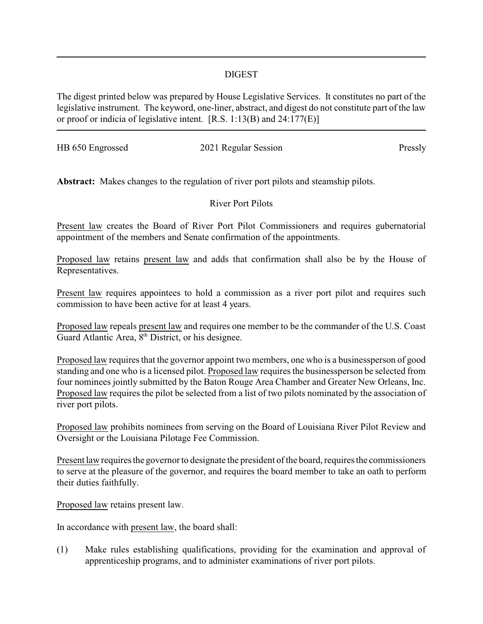## DIGEST

The digest printed below was prepared by House Legislative Services. It constitutes no part of the legislative instrument. The keyword, one-liner, abstract, and digest do not constitute part of the law or proof or indicia of legislative intent. [R.S. 1:13(B) and 24:177(E)]

HB 650 Engrossed 2021 Regular Session Pressly

**Abstract:** Makes changes to the regulation of river port pilots and steamship pilots.

River Port Pilots

Present law creates the Board of River Port Pilot Commissioners and requires gubernatorial appointment of the members and Senate confirmation of the appointments.

Proposed law retains present law and adds that confirmation shall also be by the House of Representatives.

Present law requires appointees to hold a commission as a river port pilot and requires such commission to have been active for at least 4 years.

Proposed law repeals present law and requires one member to be the commander of the U.S. Coast Guard Atlantic Area, 8<sup>th</sup> District, or his designee.

Proposed law requires that the governor appoint two members, one who is a businessperson of good standing and one who is a licensed pilot. Proposed law requires the businessperson be selected from four nominees jointly submitted by the Baton Rouge Area Chamber and Greater New Orleans, Inc. Proposed law requires the pilot be selected from a list of two pilots nominated by the association of river port pilots.

Proposed law prohibits nominees from serving on the Board of Louisiana River Pilot Review and Oversight or the Louisiana Pilotage Fee Commission.

Present law requires the governor to designate the president of the board, requires the commissioners to serve at the pleasure of the governor, and requires the board member to take an oath to perform their duties faithfully.

Proposed law retains present law.

In accordance with present law, the board shall:

(1) Make rules establishing qualifications, providing for the examination and approval of apprenticeship programs, and to administer examinations of river port pilots.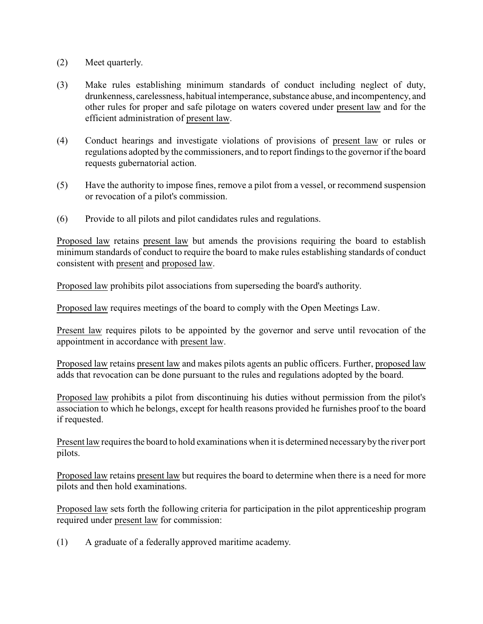- (2) Meet quarterly.
- (3) Make rules establishing minimum standards of conduct including neglect of duty, drunkenness, carelessness, habitual intemperance, substance abuse, and incompentency, and other rules for proper and safe pilotage on waters covered under present law and for the efficient administration of present law.
- (4) Conduct hearings and investigate violations of provisions of present law or rules or regulations adopted by the commissioners, and to report findings to the governor if the board requests gubernatorial action.
- (5) Have the authority to impose fines, remove a pilot from a vessel, or recommend suspension or revocation of a pilot's commission.
- (6) Provide to all pilots and pilot candidates rules and regulations.

Proposed law retains present law but amends the provisions requiring the board to establish minimum standards of conduct to require the board to make rules establishing standards of conduct consistent with present and proposed law.

Proposed law prohibits pilot associations from superseding the board's authority.

Proposed law requires meetings of the board to comply with the Open Meetings Law.

Present law requires pilots to be appointed by the governor and serve until revocation of the appointment in accordance with present law.

Proposed law retains present law and makes pilots agents an public officers. Further, proposed law adds that revocation can be done pursuant to the rules and regulations adopted by the board.

Proposed law prohibits a pilot from discontinuing his duties without permission from the pilot's association to which he belongs, except for health reasons provided he furnishes proof to the board if requested.

Present law requires the board to hold examinations when it is determined necessarybythe river port pilots.

Proposed law retains present law but requires the board to determine when there is a need for more pilots and then hold examinations.

Proposed law sets forth the following criteria for participation in the pilot apprenticeship program required under present law for commission:

(1) A graduate of a federally approved maritime academy.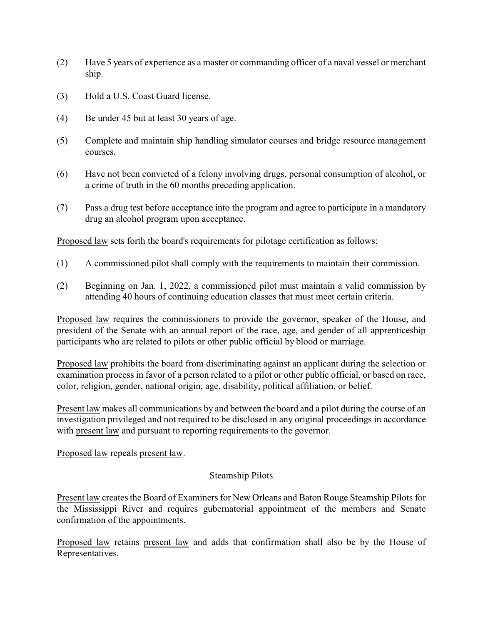- (2) Have 5 years of experience as a master or commanding officer of a naval vessel or merchant ship.
- (3) Hold a U.S. Coast Guard license.
- (4) Be under 45 but at least 30 years of age.
- (5) Complete and maintain ship handling simulator courses and bridge resource management courses.
- (6) Have not been convicted of a felony involving drugs, personal consumption of alcohol, or a crime of truth in the 60 months preceding application.
- (7) Pass a drug test before acceptance into the program and agree to participate in a mandatory drug an alcohol program upon acceptance.

Proposed law sets forth the board's requirements for pilotage certification as follows:

- (1) A commissioned pilot shall comply with the requirements to maintain their commission.
- (2) Beginning on Jan. 1, 2022, a commissioned pilot must maintain a valid commission by attending 40 hours of continuing education classes that must meet certain criteria.

Proposed law requires the commissioners to provide the governor, speaker of the House, and president of the Senate with an annual report of the race, age, and gender of all apprenticeship participants who are related to pilots or other public official by blood or marriage.

Proposed law prohibits the board from discriminating against an applicant during the selection or examination process in favor of a person related to a pilot or other public official, or based on race, color, religion, gender, national origin, age, disability, political affiliation, or belief.

Present law makes all communications by and between the board and a pilot during the course of an investigation privileged and not required to be disclosed in any original proceedings in accordance with present law and pursuant to reporting requirements to the governor.

Proposed law repeals present law.

## Steamship Pilots

Present law creates the Board of Examiners for New Orleans and Baton Rouge Steamship Pilots for the Mississippi River and requires gubernatorial appointment of the members and Senate confirmation of the appointments.

Proposed law retains present law and adds that confirmation shall also be by the House of Representatives.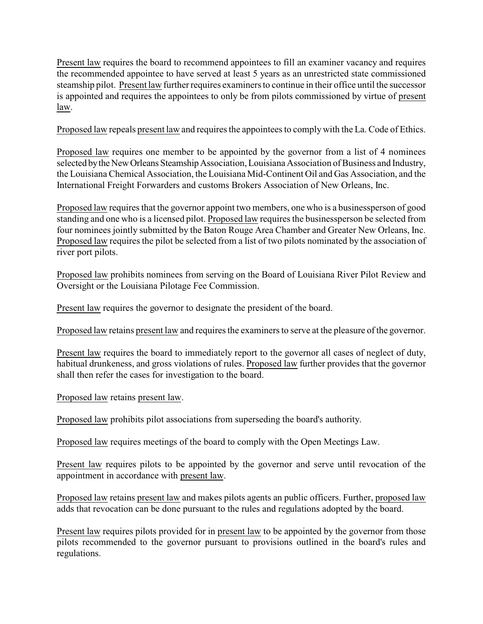Present law requires the board to recommend appointees to fill an examiner vacancy and requires the recommended appointee to have served at least 5 years as an unrestricted state commissioned steamship pilot. Present law further requires examiners to continue in their office until the successor is appointed and requires the appointees to only be from pilots commissioned by virtue of present law.

Proposed law repeals present law and requires the appointees to comply with the La. Code of Ethics.

Proposed law requires one member to be appointed by the governor from a list of 4 nominees selected by the New Orleans Steamship Association, Louisiana Association of Business and Industry, the Louisiana Chemical Association, the Louisiana Mid-Continent Oil and Gas Association, and the International Freight Forwarders and customs Brokers Association of New Orleans, Inc.

Proposed law requires that the governor appoint two members, one who is a businessperson of good standing and one who is a licensed pilot. Proposed law requires the businessperson be selected from four nominees jointly submitted by the Baton Rouge Area Chamber and Greater New Orleans, Inc. Proposed law requires the pilot be selected from a list of two pilots nominated by the association of river port pilots.

Proposed law prohibits nominees from serving on the Board of Louisiana River Pilot Review and Oversight or the Louisiana Pilotage Fee Commission.

Present law requires the governor to designate the president of the board.

Proposed law retains present law and requires the examiners to serve at the pleasure of the governor.

Present law requires the board to immediately report to the governor all cases of neglect of duty, habitual drunkeness, and gross violations of rules. Proposed law further provides that the governor shall then refer the cases for investigation to the board.

Proposed law retains present law.

Proposed law prohibits pilot associations from superseding the board's authority.

Proposed law requires meetings of the board to comply with the Open Meetings Law.

Present law requires pilots to be appointed by the governor and serve until revocation of the appointment in accordance with present law.

Proposed law retains present law and makes pilots agents an public officers. Further, proposed law adds that revocation can be done pursuant to the rules and regulations adopted by the board.

Present law requires pilots provided for in present law to be appointed by the governor from those pilots recommended to the governor pursuant to provisions outlined in the board's rules and regulations.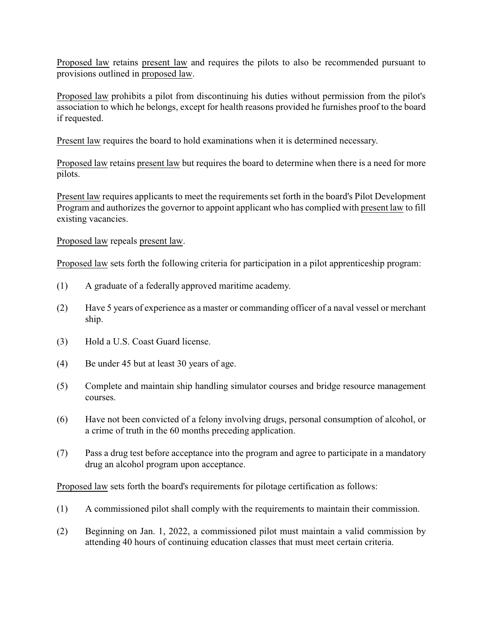Proposed law retains present law and requires the pilots to also be recommended pursuant to provisions outlined in proposed law.

Proposed law prohibits a pilot from discontinuing his duties without permission from the pilot's association to which he belongs, except for health reasons provided he furnishes proof to the board if requested.

Present law requires the board to hold examinations when it is determined necessary.

Proposed law retains present law but requires the board to determine when there is a need for more pilots.

Present law requires applicants to meet the requirements set forth in the board's Pilot Development Program and authorizes the governor to appoint applicant who has complied with present law to fill existing vacancies.

Proposed law repeals present law.

Proposed law sets forth the following criteria for participation in a pilot apprenticeship program:

- (1) A graduate of a federally approved maritime academy.
- (2) Have 5 years of experience as a master or commanding officer of a naval vessel or merchant ship.
- (3) Hold a U.S. Coast Guard license.
- (4) Be under 45 but at least 30 years of age.
- (5) Complete and maintain ship handling simulator courses and bridge resource management courses.
- (6) Have not been convicted of a felony involving drugs, personal consumption of alcohol, or a crime of truth in the 60 months preceding application.
- (7) Pass a drug test before acceptance into the program and agree to participate in a mandatory drug an alcohol program upon acceptance.

Proposed law sets forth the board's requirements for pilotage certification as follows:

- (1) A commissioned pilot shall comply with the requirements to maintain their commission.
- (2) Beginning on Jan. 1, 2022, a commissioned pilot must maintain a valid commission by attending 40 hours of continuing education classes that must meet certain criteria.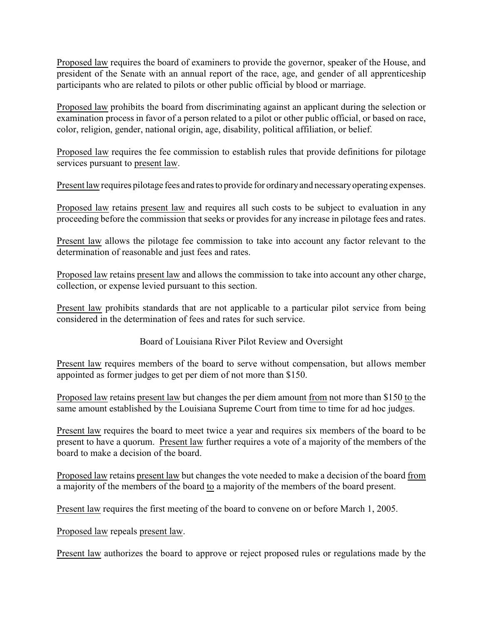Proposed law requires the board of examiners to provide the governor, speaker of the House, and president of the Senate with an annual report of the race, age, and gender of all apprenticeship participants who are related to pilots or other public official by blood or marriage.

Proposed law prohibits the board from discriminating against an applicant during the selection or examination process in favor of a person related to a pilot or other public official, or based on race, color, religion, gender, national origin, age, disability, political affiliation, or belief.

Proposed law requires the fee commission to establish rules that provide definitions for pilotage services pursuant to present law.

Present law requires pilotage fees and rates to provide for ordinary and necessary operating expenses.

Proposed law retains present law and requires all such costs to be subject to evaluation in any proceeding before the commission that seeks or provides for any increase in pilotage fees and rates.

Present law allows the pilotage fee commission to take into account any factor relevant to the determination of reasonable and just fees and rates.

Proposed law retains present law and allows the commission to take into account any other charge, collection, or expense levied pursuant to this section.

Present law prohibits standards that are not applicable to a particular pilot service from being considered in the determination of fees and rates for such service.

Board of Louisiana River Pilot Review and Oversight

Present law requires members of the board to serve without compensation, but allows member appointed as former judges to get per diem of not more than \$150.

Proposed law retains present law but changes the per diem amount from not more than \$150 to the same amount established by the Louisiana Supreme Court from time to time for ad hoc judges.

Present law requires the board to meet twice a year and requires six members of the board to be present to have a quorum. Present law further requires a vote of a majority of the members of the board to make a decision of the board.

Proposed law retains present law but changes the vote needed to make a decision of the board from a majority of the members of the board to a majority of the members of the board present.

Present law requires the first meeting of the board to convene on or before March 1, 2005.

Proposed law repeals present law.

Present law authorizes the board to approve or reject proposed rules or regulations made by the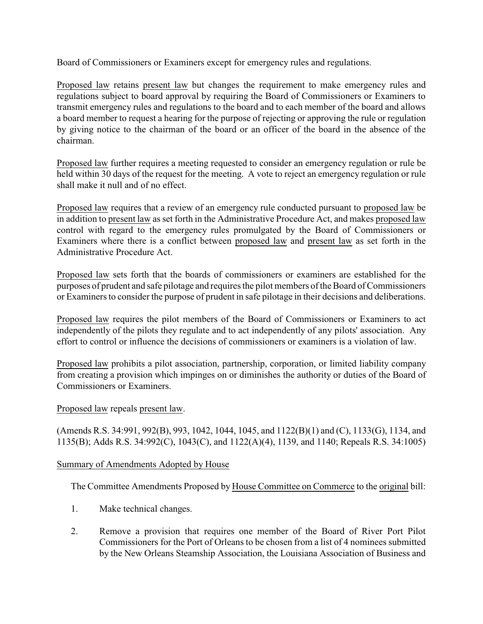Board of Commissioners or Examiners except for emergency rules and regulations.

Proposed law retains present law but changes the requirement to make emergency rules and regulations subject to board approval by requiring the Board of Commissioners or Examiners to transmit emergency rules and regulations to the board and to each member of the board and allows a board member to request a hearing for the purpose of rejecting or approving the rule or regulation by giving notice to the chairman of the board or an officer of the board in the absence of the chairman.

Proposed law further requires a meeting requested to consider an emergency regulation or rule be held within 30 days of the request for the meeting. A vote to reject an emergency regulation or rule shall make it null and of no effect.

Proposed law requires that a review of an emergency rule conducted pursuant to proposed law be in addition to present law as set forth in the Administrative Procedure Act, and makes proposed law control with regard to the emergency rules promulgated by the Board of Commissioners or Examiners where there is a conflict between proposed law and present law as set forth in the Administrative Procedure Act.

Proposed law sets forth that the boards of commissioners or examiners are established for the purposes of prudent and safe pilotage and requires the pilot members of the Board of Commissioners or Examiners to consider the purpose of prudent in safe pilotage in their decisions and deliberations.

Proposed law requires the pilot members of the Board of Commissioners or Examiners to act independently of the pilots they regulate and to act independently of any pilots' association. Any effort to control or influence the decisions of commissioners or examiners is a violation of law.

Proposed law prohibits a pilot association, partnership, corporation, or limited liability company from creating a provision which impinges on or diminishes the authority or duties of the Board of Commissioners or Examiners.

## Proposed law repeals present law.

(Amends R.S. 34:991, 992(B), 993, 1042, 1044, 1045, and 1122(B)(1) and (C), 1133(G), 1134, and 1135(B); Adds R.S. 34:992(C), 1043(C), and 1122(A)(4), 1139, and 1140; Repeals R.S. 34:1005)

## Summary of Amendments Adopted by House

The Committee Amendments Proposed by House Committee on Commerce to the original bill:

- 1. Make technical changes.
- 2. Remove a provision that requires one member of the Board of River Port Pilot Commissioners for the Port of Orleans to be chosen from a list of 4 nominees submitted by the New Orleans Steamship Association, the Louisiana Association of Business and